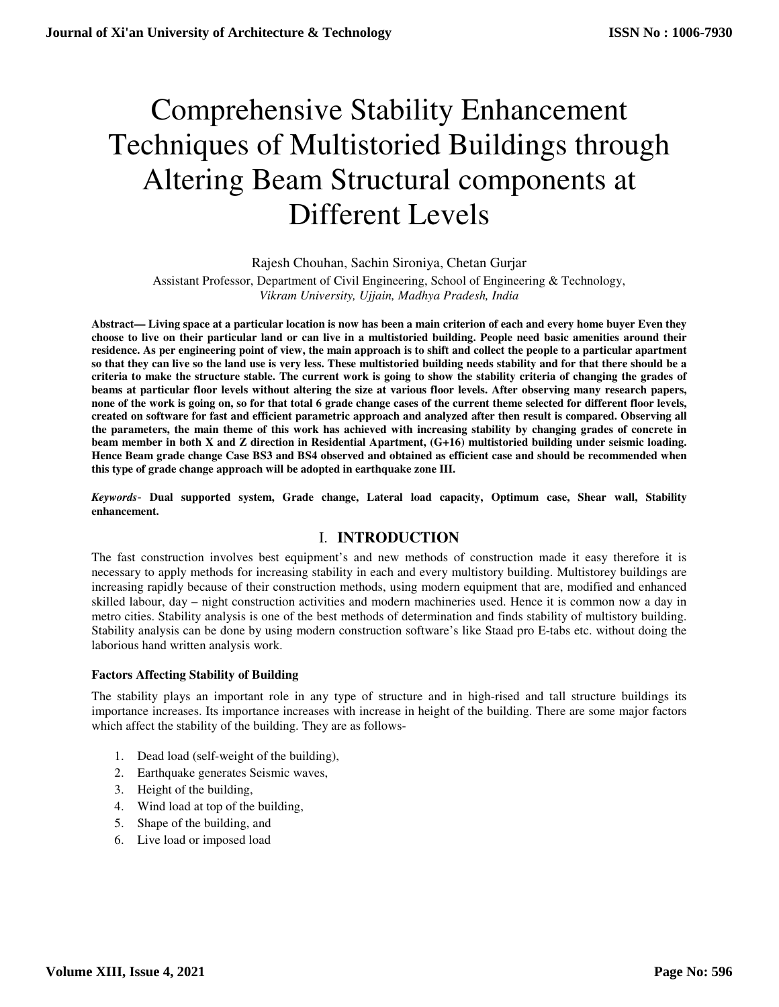# Comprehensive Stability Enhancement Techniques of Multistoried Buildings through Altering Beam Structural components at Different Levels

Rajesh Chouhan, Sachin Sironiya, Chetan Gurjar

Assistant Professor, Department of Civil Engineering, School of Engineering & Technology, *Vikram University, Ujjain, Madhya Pradesh, India* 

**Abstract— Living space at a particular location is now has been a main criterion of each and every home buyer Even they choose to live on their particular land or can live in a multistoried building. People need basic amenities around their residence. As per engineering point of view, the main approach is to shift and collect the people to a particular apartment so that they can live so the land use is very less. These multistoried building needs stability and for that there should be a criteria to make the structure stable. The current work is going to show the stability criteria of changing the grades of beams at particular floor levels without altering the size at various floor levels. After observing many research papers, none of the work is going on, so for that total 6 grade change cases of the current theme selected for different floor levels, created on software for fast and efficient parametric approach and analyzed after then result is compared. Observing all the parameters, the main theme of this work has achieved with increasing stability by changing grades of concrete in beam member in both X and Z direction in Residential Apartment, (G+16) multistoried building under seismic loading. Hence Beam grade change Case BS3 and BS4 observed and obtained as efficient case and should be recommended when this type of grade change approach will be adopted in earthquake zone III.** 

*Keywords*- **Dual supported system, Grade change, Lateral load capacity, Optimum case, Shear wall, Stability enhancement.**

#### I. **INTRODUCTION**

The fast construction involves best equipment's and new methods of construction made it easy therefore it is necessary to apply methods for increasing stability in each and every multistory building. Multistorey buildings are increasing rapidly because of their construction methods, using modern equipment that are, modified and enhanced skilled labour, day – night construction activities and modern machineries used. Hence it is common now a day in metro cities. Stability analysis is one of the best methods of determination and finds stability of multistory building. Stability analysis can be done by using modern construction software's like Staad pro E-tabs etc. without doing the laborious hand written analysis work.

#### **Factors Affecting Stability of Building**

The stability plays an important role in any type of structure and in high-rised and tall structure buildings its importance increases. Its importance increases with increase in height of the building. There are some major factors which affect the stability of the building. They are as follows-

- 1. Dead load (self-weight of the building),
- 2. Earthquake generates Seismic waves,
- 3. Height of the building,
- 4. Wind load at top of the building,
- 5. Shape of the building, and
- 6. Live load or imposed load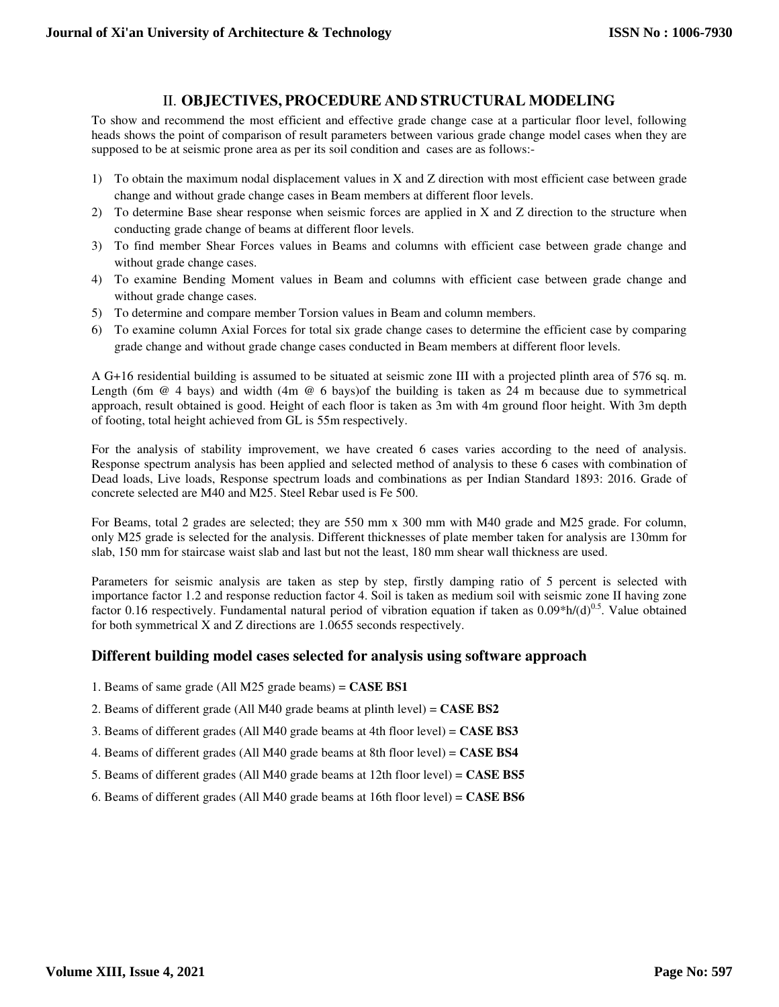## II. **OBJECTIVES, PROCEDURE AND STRUCTURAL MODELING**

To show and recommend the most efficient and effective grade change case at a particular floor level, following heads shows the point of comparison of result parameters between various grade change model cases when they are supposed to be at seismic prone area as per its soil condition and cases are as follows:-

- 1) To obtain the maximum nodal displacement values in X and Z direction with most efficient case between grade change and without grade change cases in Beam members at different floor levels.
- 2) To determine Base shear response when seismic forces are applied in X and Z direction to the structure when conducting grade change of beams at different floor levels.
- 3) To find member Shear Forces values in Beams and columns with efficient case between grade change and without grade change cases.
- 4) To examine Bending Moment values in Beam and columns with efficient case between grade change and without grade change cases.
- 5) To determine and compare member Torsion values in Beam and column members.
- 6) To examine column Axial Forces for total six grade change cases to determine the efficient case by comparing grade change and without grade change cases conducted in Beam members at different floor levels.

A G+16 residential building is assumed to be situated at seismic zone III with a projected plinth area of 576 sq. m. Length (6m @ 4 bays) and width (4m @ 6 bays)of the building is taken as 24 m because due to symmetrical approach, result obtained is good. Height of each floor is taken as 3m with 4m ground floor height. With 3m depth of footing, total height achieved from GL is 55m respectively.

For the analysis of stability improvement, we have created 6 cases varies according to the need of analysis. Response spectrum analysis has been applied and selected method of analysis to these 6 cases with combination of Dead loads, Live loads, Response spectrum loads and combinations as per Indian Standard 1893: 2016. Grade of concrete selected are M40 and M25. Steel Rebar used is Fe 500.

For Beams, total 2 grades are selected; they are 550 mm x 300 mm with M40 grade and M25 grade. For column, only M25 grade is selected for the analysis. Different thicknesses of plate member taken for analysis are 130mm for slab, 150 mm for staircase waist slab and last but not the least, 180 mm shear wall thickness are used.

Parameters for seismic analysis are taken as step by step, firstly damping ratio of 5 percent is selected with importance factor 1.2 and response reduction factor 4. Soil is taken as medium soil with seismic zone II having zone factor 0.16 respectively. Fundamental natural period of vibration equation if taken as  $0.09*h/(d)^{0.5}$ . Value obtained for both symmetrical X and Z directions are 1.0655 seconds respectively.

## **Different building model cases selected for analysis using software approach**

- 1. Beams of same grade (All M25 grade beams) = **CASE BS1**
- 2. Beams of different grade (All M40 grade beams at plinth level) = **CASE BS2**
- 3. Beams of different grades (All M40 grade beams at 4th floor level) = **CASE BS3**
- 4. Beams of different grades (All M40 grade beams at 8th floor level) = **CASE BS4**
- 5. Beams of different grades (All M40 grade beams at 12th floor level) = **CASE BS5**
- 6. Beams of different grades (All M40 grade beams at 16th floor level) = **CASE BS6**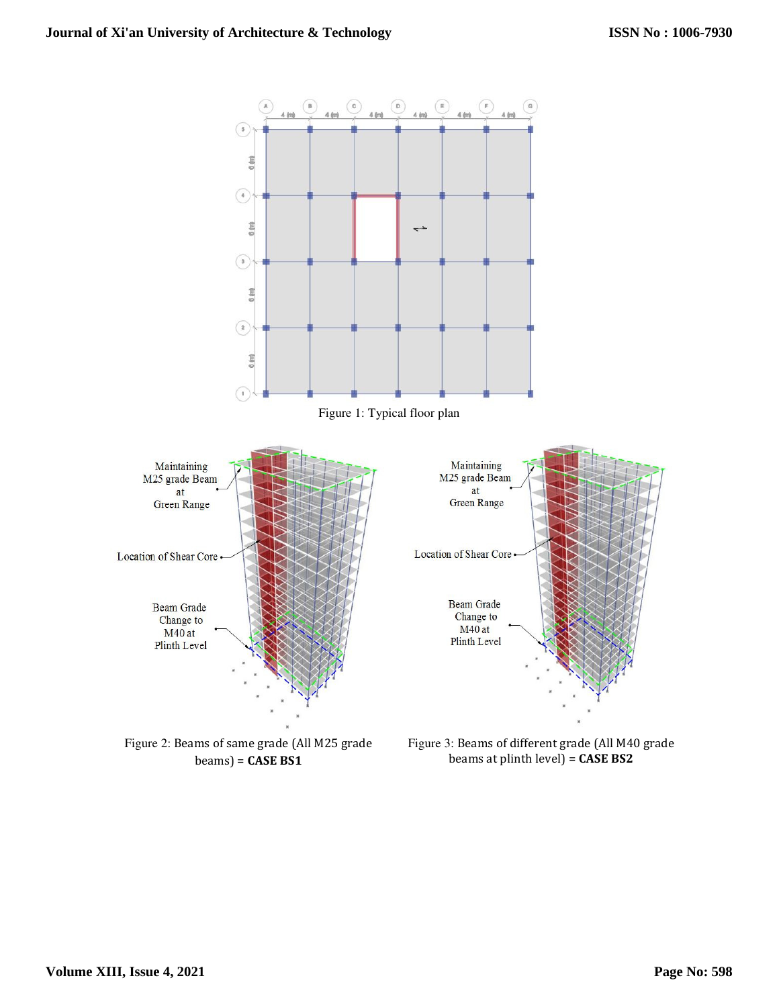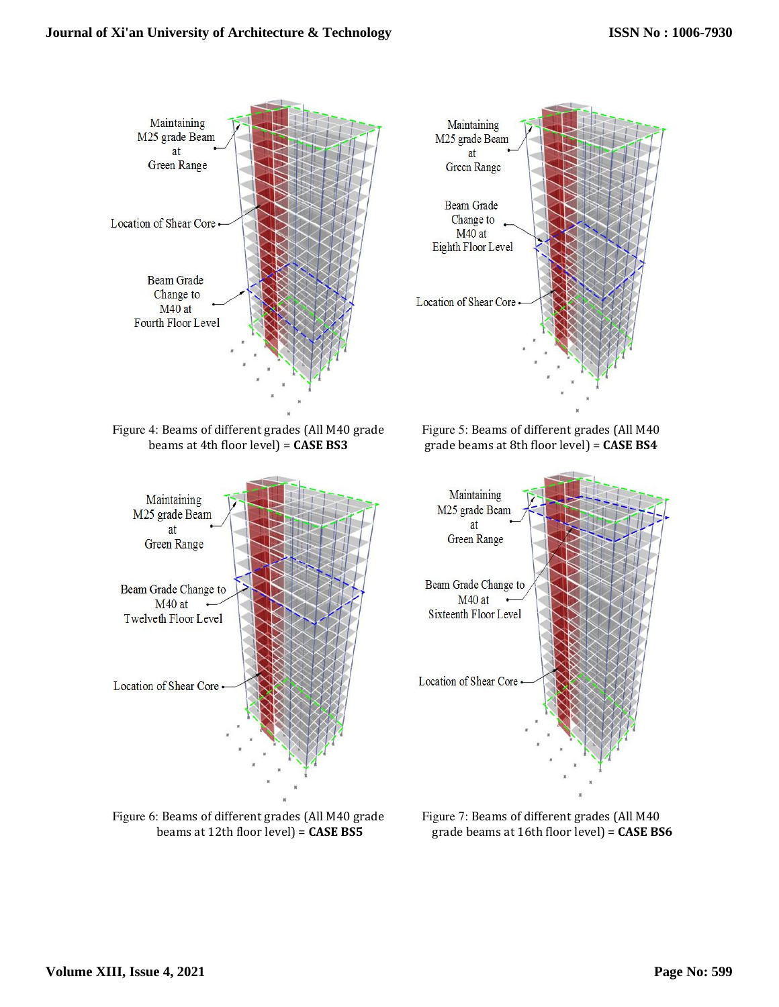



Figure 7: Beams of different grades (All M40 grade beams at 16th floor level) = **CASE BS6**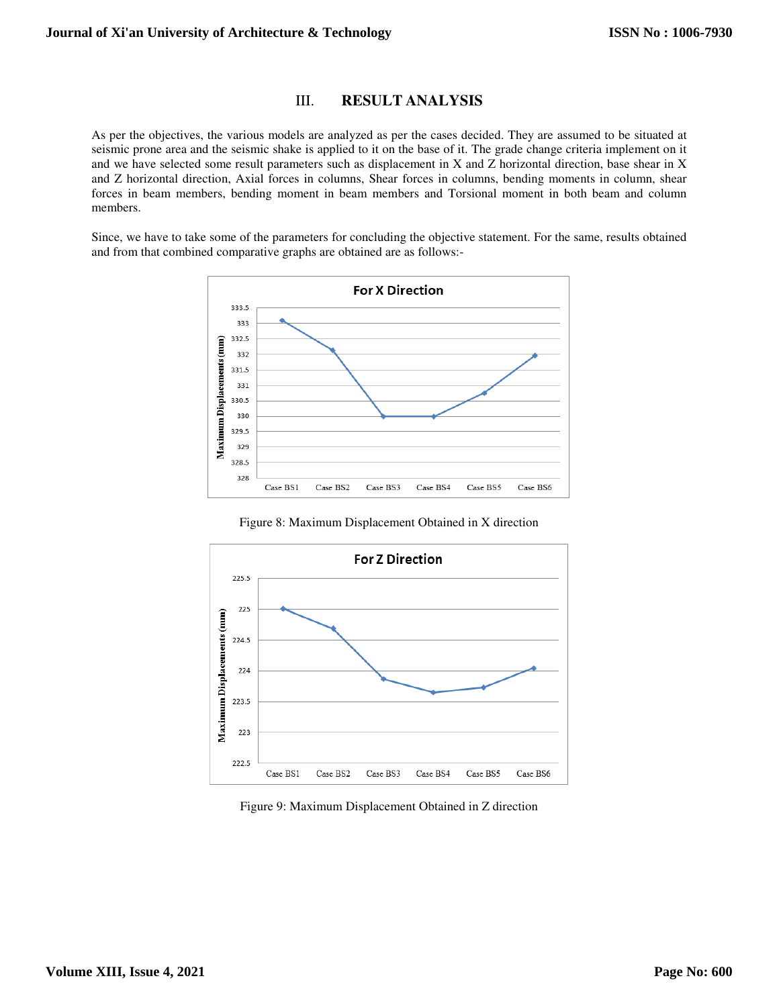#### III. **RESULT ANALYSIS**

As per the objectives, the various models are analyzed as per the cases decided. They are assumed to be situated at seismic prone area and the seismic shake is applied to it on the base of it. The grade change criteria implement on it and we have selected some result parameters such as displacement in X and Z horizontal direction, base shear in X and Z horizontal direction, Axial forces in columns, Shear forces in columns, bending moments in column, shear forces in beam members, bending moment in beam members and Torsional moment in both beam and column members.

Since, we have to take some of the parameters for concluding the objective statement. For the same, results obtained and from that combined comparative graphs are obtained are as follows:-



Figure 8: Maximum Displacement Obtained in X direction



Figure 9: Maximum Displacement Obtained in Z direction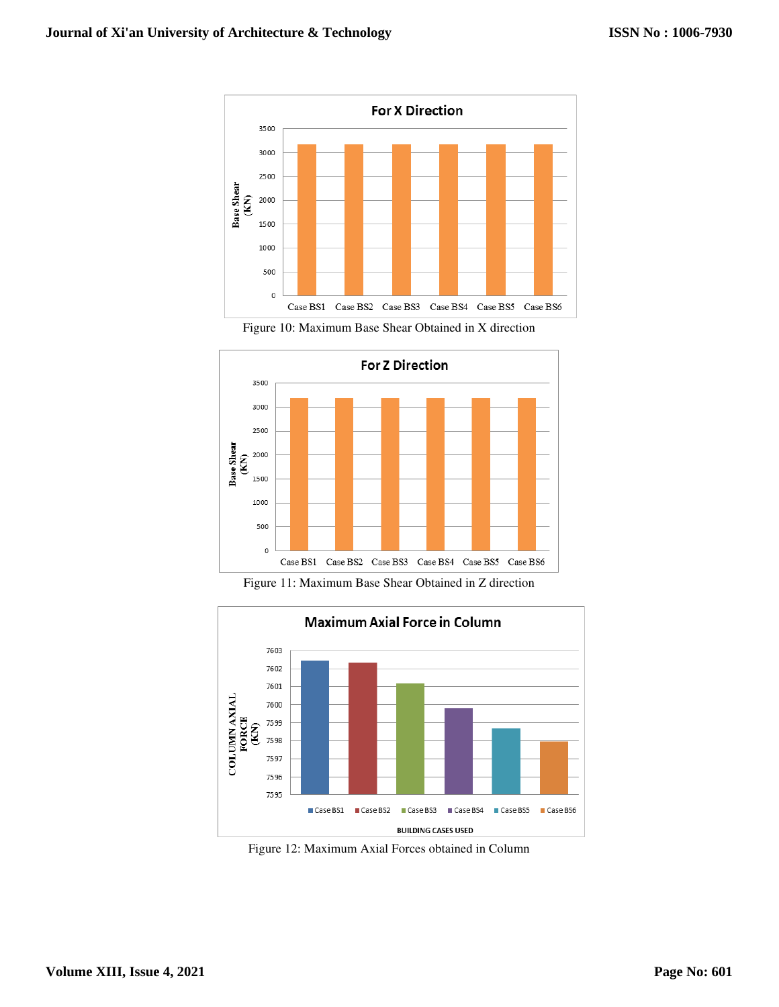





Figure 11: Maximum Base Shear Obtained in Z direction



Figure 12: Maximum Axial Forces obtained in Column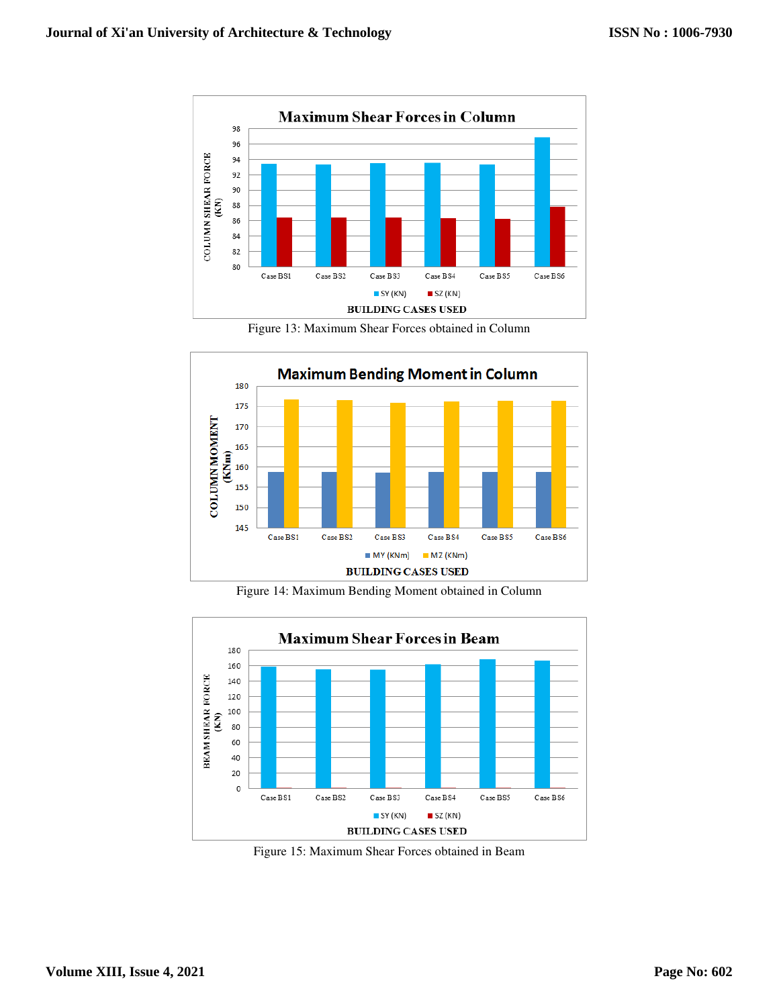

Figure 13: Maximum Shear Forces obtained in Column



Figure 14: Maximum Bending Moment obtained in Column



Figure 15: Maximum Shear Forces obtained in Beam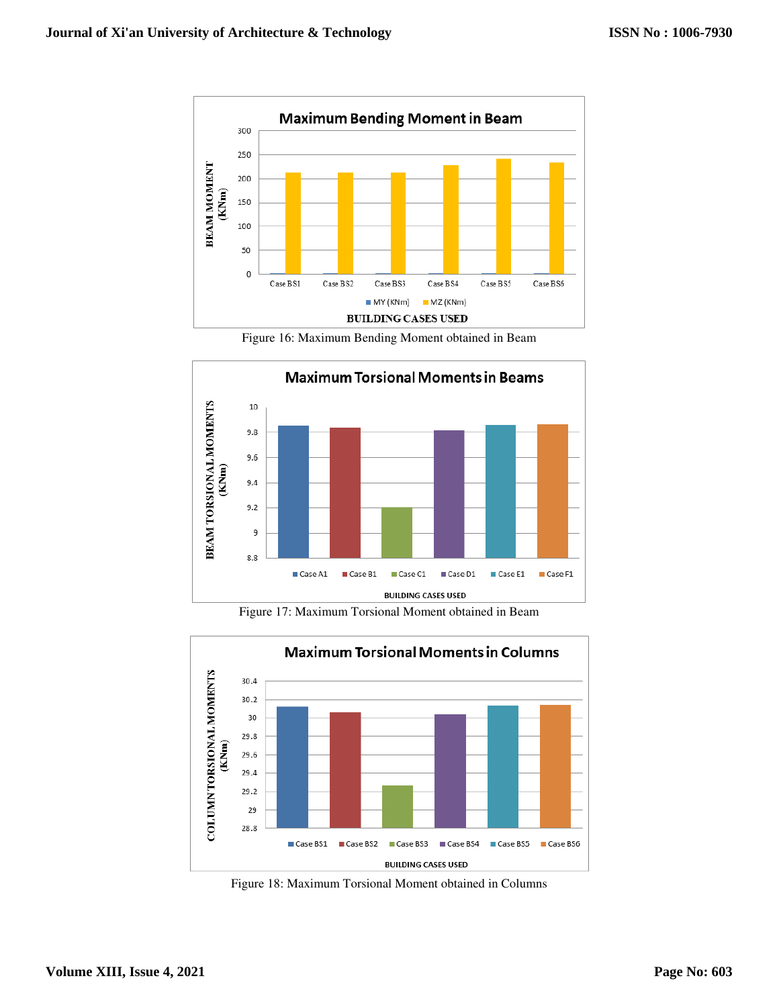

Figure 16: Maximum Bending Moment obtained in Beam



Figure 17: Maximum Torsional Moment obtained in Beam



Figure 18: Maximum Torsional Moment obtained in Columns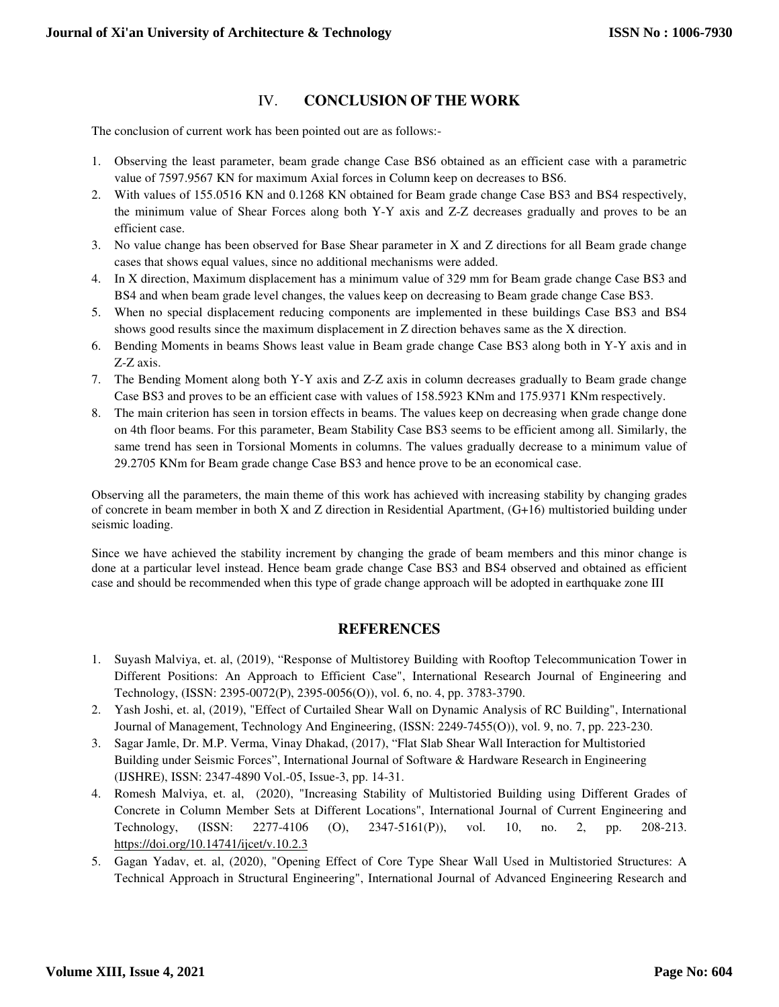## IV. **CONCLUSION OF THE WORK**

The conclusion of current work has been pointed out are as follows:-

- 1. Observing the least parameter, beam grade change Case BS6 obtained as an efficient case with a parametric value of 7597.9567 KN for maximum Axial forces in Column keep on decreases to BS6.
- 2. With values of 155.0516 KN and 0.1268 KN obtained for Beam grade change Case BS3 and BS4 respectively, the minimum value of Shear Forces along both Y-Y axis and Z-Z decreases gradually and proves to be an efficient case.
- 3. No value change has been observed for Base Shear parameter in X and Z directions for all Beam grade change cases that shows equal values, since no additional mechanisms were added.
- 4. In X direction, Maximum displacement has a minimum value of 329 mm for Beam grade change Case BS3 and BS4 and when beam grade level changes, the values keep on decreasing to Beam grade change Case BS3.
- 5. When no special displacement reducing components are implemented in these buildings Case BS3 and BS4 shows good results since the maximum displacement in Z direction behaves same as the X direction.
- 6. Bending Moments in beams Shows least value in Beam grade change Case BS3 along both in Y-Y axis and in Z-Z axis.
- 7. The Bending Moment along both Y-Y axis and Z-Z axis in column decreases gradually to Beam grade change Case BS3 and proves to be an efficient case with values of 158.5923 KNm and 175.9371 KNm respectively.
- 8. The main criterion has seen in torsion effects in beams. The values keep on decreasing when grade change done on 4th floor beams. For this parameter, Beam Stability Case BS3 seems to be efficient among all. Similarly, the same trend has seen in Torsional Moments in columns. The values gradually decrease to a minimum value of 29.2705 KNm for Beam grade change Case BS3 and hence prove to be an economical case.

Observing all the parameters, the main theme of this work has achieved with increasing stability by changing grades of concrete in beam member in both X and Z direction in Residential Apartment, (G+16) multistoried building under seismic loading.

Since we have achieved the stability increment by changing the grade of beam members and this minor change is done at a particular level instead. Hence beam grade change Case BS3 and BS4 observed and obtained as efficient case and should be recommended when this type of grade change approach will be adopted in earthquake zone III

## **REFERENCES**

- 1. Suyash Malviya, et. al, (2019), "Response of Multistorey Building with Rooftop Telecommunication Tower in Different Positions: An Approach to Efficient Case", International Research Journal of Engineering and Technology, (ISSN: 2395-0072(P), 2395-0056(O)), vol. 6, no. 4, pp. 3783-3790.
- 2. Yash Joshi, et. al, (2019), "Effect of Curtailed Shear Wall on Dynamic Analysis of RC Building", International Journal of Management, Technology And Engineering, (ISSN: 2249-7455(O)), vol. 9, no. 7, pp. 223-230.
- 3. Sagar Jamle, Dr. M.P. Verma, Vinay Dhakad, (2017), "Flat Slab Shear Wall Interaction for Multistoried Building under Seismic Forces", International Journal of Software & Hardware Research in Engineering (IJSHRE), ISSN: 2347-4890 Vol.-05, Issue-3, pp. 14-31.
- 4. Romesh Malviya, et. al, (2020), "Increasing Stability of Multistoried Building using Different Grades of Concrete in Column Member Sets at Different Locations", International Journal of Current Engineering and Technology, (ISSN: 2277-4106 (O), 2347-5161(P)), vol. 10, no. 2, pp. 208-213. https://doi.org/10.14741/ijcet/v.10.2.3
- 5. Gagan Yadav, et. al, (2020), "Opening Effect of Core Type Shear Wall Used in Multistoried Structures: A Technical Approach in Structural Engineering", International Journal of Advanced Engineering Research and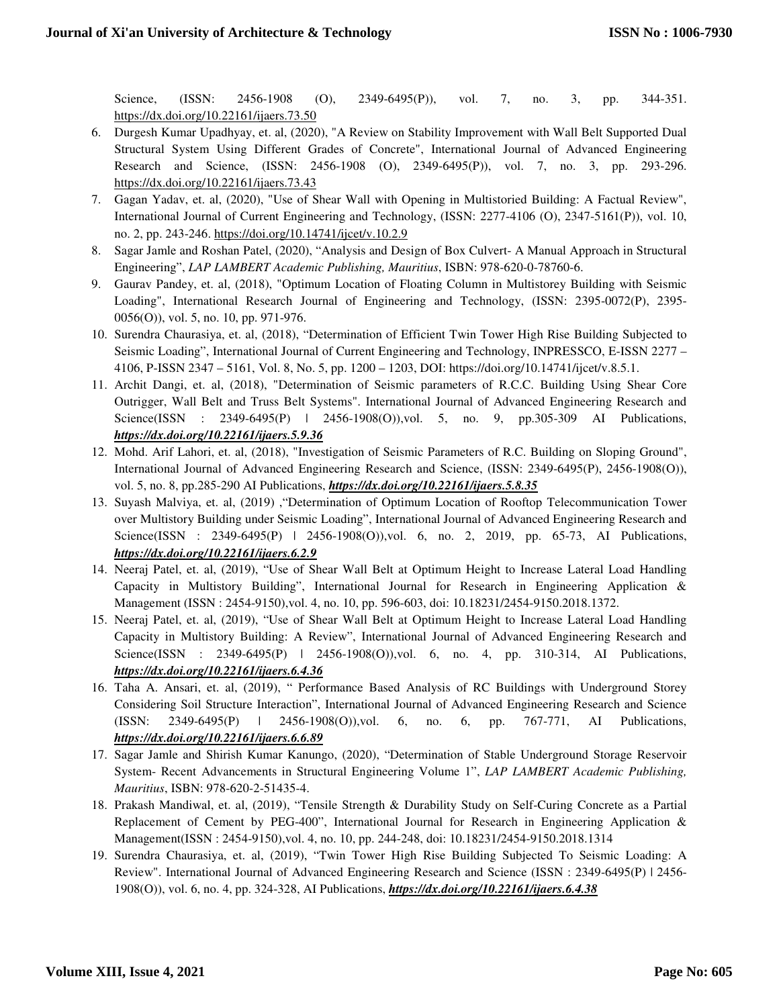Science, (ISSN: 2456-1908 (O), 2349-6495(P)), vol. 7, no. 3, pp. 344-351. https://dx.doi.org/10.22161/ijaers.73.50

- 6. Durgesh Kumar Upadhyay, et. al, (2020), "A Review on Stability Improvement with Wall Belt Supported Dual Structural System Using Different Grades of Concrete", International Journal of Advanced Engineering Research and Science, (ISSN: 2456-1908 (O), 2349-6495(P)), vol. 7, no. 3, pp. 293-296. https://dx.doi.org/10.22161/ijaers.73.43
- 7. Gagan Yadav, et. al, (2020), "Use of Shear Wall with Opening in Multistoried Building: A Factual Review", International Journal of Current Engineering and Technology, (ISSN: 2277-4106 (O), 2347-5161(P)), vol. 10, no. 2, pp. 243-246. https://doi.org/10.14741/ijcet/v.10.2.9
- 8. Sagar Jamle and Roshan Patel, (2020), "Analysis and Design of Box Culvert- A Manual Approach in Structural Engineering", *LAP LAMBERT Academic Publishing, Mauritius*, ISBN: 978-620-0-78760-6.
- 9. Gaurav Pandey, et. al, (2018), "Optimum Location of Floating Column in Multistorey Building with Seismic Loading", International Research Journal of Engineering and Technology, (ISSN: 2395-0072(P), 2395- 0056(O)), vol. 5, no. 10, pp. 971-976.
- 10. Surendra Chaurasiya, et. al, (2018), "Determination of Efficient Twin Tower High Rise Building Subjected to Seismic Loading", International Journal of Current Engineering and Technology, INPRESSCO, E-ISSN 2277 – 4106, P-ISSN 2347 – 5161, Vol. 8, No. 5, pp. 1200 – 1203, DOI: https://doi.org/10.14741/ijcet/v.8.5.1.
- 11. Archit Dangi, et. al, (2018), "Determination of Seismic parameters of R.C.C. Building Using Shear Core Outrigger, Wall Belt and Truss Belt Systems". International Journal of Advanced Engineering Research and Science(ISSN : 2349-6495(P) | 2456-1908(O)), vol. 5, no. 9, pp.305-309 AI Publications, *https://dx.doi.org/10.22161/ijaers.5.9.36*
- 12. Mohd. Arif Lahori, et. al, (2018), "Investigation of Seismic Parameters of R.C. Building on Sloping Ground", International Journal of Advanced Engineering Research and Science, (ISSN: 2349-6495(P), 2456-1908(O)), vol. 5, no. 8, pp.285-290 AI Publications, *https://dx.doi.org/10.22161/ijaers.5.8.35*
- 13. Suyash Malviya, et. al, (2019) ,"Determination of Optimum Location of Rooftop Telecommunication Tower over Multistory Building under Seismic Loading", International Journal of Advanced Engineering Research and Science(ISSN : 2349-6495(P) | 2456-1908(O)), vol. 6, no. 2, 2019, pp. 65-73, AI Publications, *https://dx.doi.org/10.22161/ijaers.6.2.9*
- 14. Neeraj Patel, et. al, (2019), "Use of Shear Wall Belt at Optimum Height to Increase Lateral Load Handling Capacity in Multistory Building", International Journal for Research in Engineering Application & Management (ISSN : 2454-9150),vol. 4, no. 10, pp. 596-603, doi: 10.18231/2454-9150.2018.1372.
- 15. Neeraj Patel, et. al, (2019), "Use of Shear Wall Belt at Optimum Height to Increase Lateral Load Handling Capacity in Multistory Building: A Review", International Journal of Advanced Engineering Research and Science(ISSN : 2349-6495(P) | 2456-1908(O)), vol. 6, no. 4, pp. 310-314, AI Publications, *https://dx.doi.org/10.22161/ijaers.6.4.36*
- 16. Taha A. Ansari, et. al, (2019), " Performance Based Analysis of RC Buildings with Underground Storey Considering Soil Structure Interaction", International Journal of Advanced Engineering Research and Science (ISSN: 2349-6495(P) | 2456-1908(O)),vol. 6, no. 6, pp. 767-771, AI Publications, *https://dx.doi.org/10.22161/ijaers.6.6.89*
- 17. Sagar Jamle and Shirish Kumar Kanungo, (2020), "Determination of Stable Underground Storage Reservoir System- Recent Advancements in Structural Engineering Volume 1", *LAP LAMBERT Academic Publishing, Mauritius*, ISBN: 978-620-2-51435-4.
- 18. Prakash Mandiwal, et. al, (2019), "Tensile Strength & Durability Study on Self-Curing Concrete as a Partial Replacement of Cement by PEG-400", International Journal for Research in Engineering Application & Management(ISSN : 2454-9150),vol. 4, no. 10, pp. 244-248, doi: 10.18231/2454-9150.2018.1314
- 19. Surendra Chaurasiya, et. al, (2019), "Twin Tower High Rise Building Subjected To Seismic Loading: A Review". International Journal of Advanced Engineering Research and Science (ISSN : 2349-6495(P) | 2456- 1908(O)), vol. 6, no. 4, pp. 324-328, AI Publications, *https://dx.doi.org/10.22161/ijaers.6.4.38*